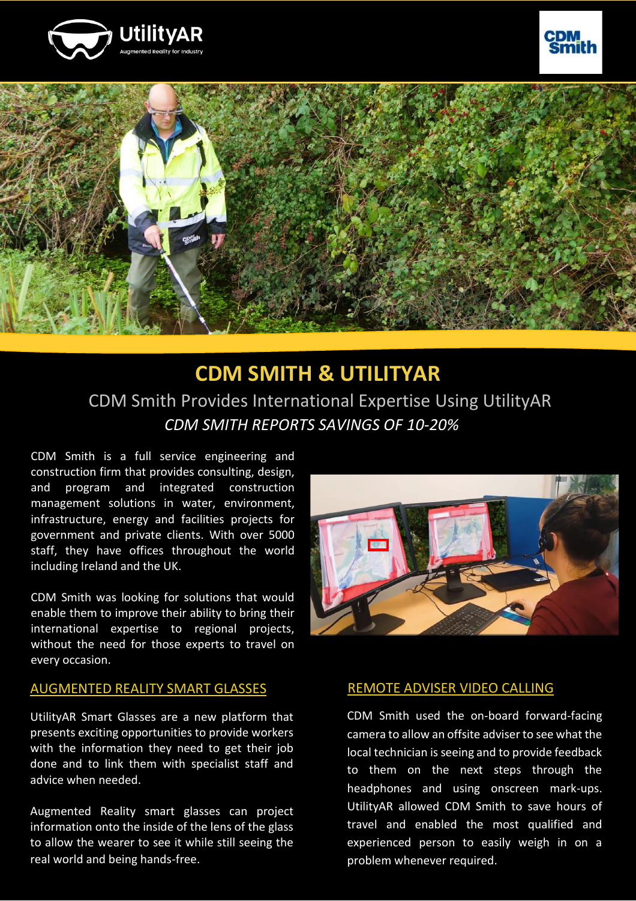





## **CDM SMITH & UTILITYAR** CDM Smith Provides International Expertise Using UtilityAR *CDM SMITH REPORTS SAVINGS OF 10-20%*

CDM Smith is a full service engineering and construction firm that provides consulting, design, and program and integrated construction management solutions in water, environment, infrastructure, energy and facilities projects for government and private clients. With over 5000 staff, they have offices throughout the world including Ireland and the UK.

CDM Smith was looking for solutions that would enable them to improve their ability to bring their international expertise to regional projects, without the need for those experts to travel on every occasion.

#### AUGMENTED REALITY SMART GLASSES

UtilityAR Smart Glasses are a new platform that presents exciting opportunities to provide workers with the information they need to get their job done and to link them with specialist staff and advice when needed.

Augmented Reality smart glasses can project information onto the inside of the lens of the glass to allow the wearer to see it while still seeing the real world and being hands-free.



#### REMOTE ADVISER VIDEO CALLING

CDM Smith used the on-board forward-facing camera to allow an offsite adviser to see what the local technician is seeing and to provide feedback to them on the next steps through the headphones and using onscreen mark-ups. UtilityAR allowed CDM Smith to save hours of travel and enabled the most qualified and experienced person to easily weigh in on a problem whenever required.